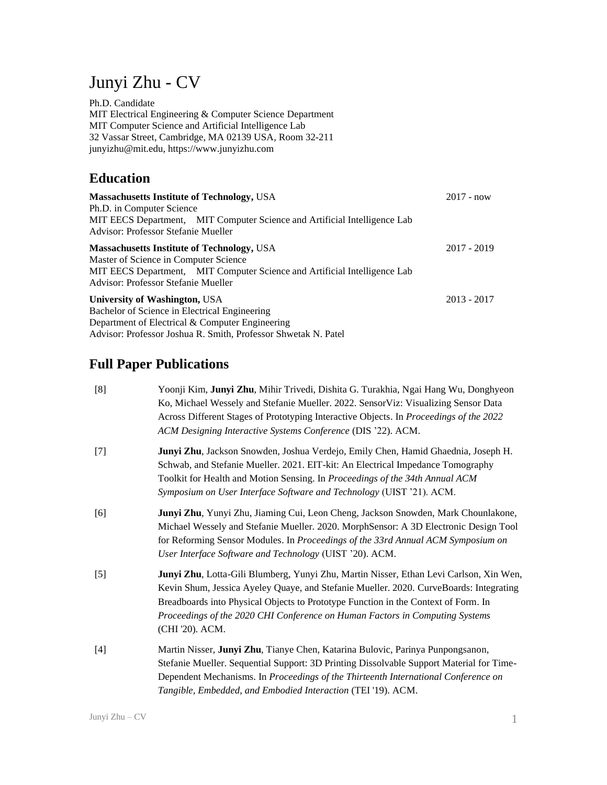# Junyi Zhu - CV

Ph.D. Candidate MIT Electrical Engineering & Computer Science Department MIT Computer Science and Artificial Intelligence Lab 32 Vassar Street, Cambridge, MA 02139 USA, Room 32-211 junyizhu@mit.edu, https://www.junyizhu.com

# **Education**

| <b>Massachusetts Institute of Technology, USA</b><br>Ph.D. in Computer Science                                                                                                                                 | $2017 - now$  |
|----------------------------------------------------------------------------------------------------------------------------------------------------------------------------------------------------------------|---------------|
| MIT EECS Department, MIT Computer Science and Artificial Intelligence Lab<br>Advisor: Professor Stefanie Mueller                                                                                               |               |
| <b>Massachusetts Institute of Technology, USA</b><br>Master of Science in Computer Science<br>MIT EECS Department, MIT Computer Science and Artificial Intelligence Lab<br>Advisor: Professor Stefanie Mueller | 2017 - 2019   |
| <b>University of Washington, USA</b><br>Bachelor of Science in Electrical Engineering<br>Department of Electrical & Computer Engineering<br>Advisor: Professor Joshua R. Smith, Professor Shwetak N. Patel     | $2013 - 2017$ |

# **Full Paper Publications**

| [8]   | Yoonji Kim, Junyi Zhu, Mihir Trivedi, Dishita G. Turakhia, Ngai Hang Wu, Donghyeon<br>Ko, Michael Wessely and Stefanie Mueller. 2022. SensorViz: Visualizing Sensor Data<br>Across Different Stages of Prototyping Interactive Objects. In Proceedings of the 2022<br>ACM Designing Interactive Systems Conference (DIS '22). ACM.                                        |
|-------|---------------------------------------------------------------------------------------------------------------------------------------------------------------------------------------------------------------------------------------------------------------------------------------------------------------------------------------------------------------------------|
| $[7]$ | Junyi Zhu, Jackson Snowden, Joshua Verdejo, Emily Chen, Hamid Ghaednia, Joseph H.<br>Schwab, and Stefanie Mueller. 2021. EIT-kit: An Electrical Impedance Tomography<br>Toolkit for Health and Motion Sensing. In Proceedings of the 34th Annual ACM<br>Symposium on User Interface Software and Technology (UIST '21). ACM.                                              |
| [6]   | Junyi Zhu, Yunyi Zhu, Jiaming Cui, Leon Cheng, Jackson Snowden, Mark Chounlakone,<br>Michael Wessely and Stefanie Mueller. 2020. MorphSensor: A 3D Electronic Design Tool<br>for Reforming Sensor Modules. In Proceedings of the 33rd Annual ACM Symposium on<br>User Interface Software and Technology (UIST '20). ACM.                                                  |
| $[5]$ | Junyi Zhu, Lotta-Gili Blumberg, Yunyi Zhu, Martin Nisser, Ethan Levi Carlson, Xin Wen,<br>Kevin Shum, Jessica Ayeley Quaye, and Stefanie Mueller. 2020. CurveBoards: Integrating<br>Breadboards into Physical Objects to Prototype Function in the Context of Form. In<br>Proceedings of the 2020 CHI Conference on Human Factors in Computing Systems<br>(CHI '20). ACM. |
| $[4]$ | Martin Nisser, Junyi Zhu, Tianye Chen, Katarina Bulovic, Parinya Punpongsanon,<br>Stefanie Mueller. Sequential Support: 3D Printing Dissolvable Support Material for Time-<br>Dependent Mechanisms. In Proceedings of the Thirteenth International Conference on<br>Tangible, Embedded, and Embodied Interaction (TEI '19). ACM.                                          |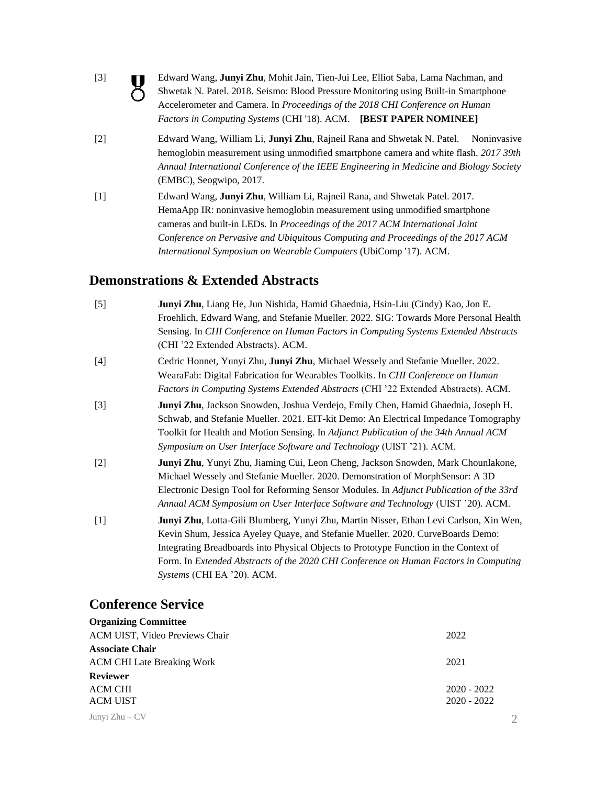[3]

O

Edward Wang, **Junyi Zhu**, Mohit Jain, Tien-Jui Lee, Elliot Saba, Lama Nachman, and Shwetak N. Patel. 2018. Seismo: Blood Pressure Monitoring using Built-in Smartphone Accelerometer and Camera. In *Proceedings of the 2018 CHI Conference on Human Factors in Computing Systems* (CHI '18). ACM. **[BEST PAPER NOMINEE]**

- [2] Edward Wang, William Li, **Junyi Zhu**, Rajneil Rana and Shwetak N. Patel. Noninvasive hemoglobin measurement using unmodified smartphone camera and white flash. *2017 39th Annual International Conference of the IEEE Engineering in Medicine and Biology Society*  (EMBC), Seogwipo, 2017.
- [1] Edward Wang, **Junyi Zhu**, William Li, Rajneil Rana, and Shwetak Patel. 2017. HemaApp IR: noninvasive hemoglobin measurement using unmodified smartphone cameras and built-in LEDs. In *Proceedings of the 2017 ACM International Joint Conference on Pervasive and Ubiquitous Computing and Proceedings of the 2017 ACM International Symposium on Wearable Computers* (UbiComp '17). ACM.

### **Demonstrations & Extended Abstracts**

| $[5]$ | Junyi Zhu, Liang He, Jun Nishida, Hamid Ghaednia, Hsin-Liu (Cindy) Kao, Jon E.          |
|-------|-----------------------------------------------------------------------------------------|
|       | Froehlich, Edward Wang, and Stefanie Mueller. 2022. SIG: Towards More Personal Health   |
|       | Sensing. In CHI Conference on Human Factors in Computing Systems Extended Abstracts     |
|       | (CHI '22 Extended Abstracts). ACM.                                                      |
| $[4]$ | Cedric Honnet, Yunyi Zhu, Junyi Zhu, Michael Wessely and Stefanie Mueller. 2022.        |
|       | WearaFab: Digital Fabrication for Wearables Toolkits. In CHI Conference on Human        |
|       | Factors in Computing Systems Extended Abstracts (CHI '22 Extended Abstracts). ACM.      |
| $[3]$ | Junyi Zhu, Jackson Snowden, Joshua Verdejo, Emily Chen, Hamid Ghaednia, Joseph H.       |
|       | Schwab, and Stefanie Mueller. 2021. EIT-kit Demo: An Electrical Impedance Tomography    |
|       | Toolkit for Health and Motion Sensing. In Adjunct Publication of the 34th Annual ACM    |
|       | Symposium on User Interface Software and Technology (UIST '21). ACM.                    |
| $[2]$ | Junyi Zhu, Yunyi Zhu, Jiaming Cui, Leon Cheng, Jackson Snowden, Mark Chounlakone,       |
|       | Michael Wessely and Stefanie Mueller. 2020. Demonstration of MorphSensor: A 3D          |
|       | Electronic Design Tool for Reforming Sensor Modules. In Adjunct Publication of the 33rd |
|       | Annual ACM Symposium on User Interface Software and Technology (UIST '20). ACM.         |
| $[1]$ | Junyi Zhu, Lotta-Gili Blumberg, Yunyi Zhu, Martin Nisser, Ethan Levi Carlson, Xin Wen,  |
|       | Kevin Shum, Jessica Ayeley Quaye, and Stefanie Mueller. 2020. CurveBoards Demo:         |
|       | Integrating Breadboards into Physical Objects to Prototype Function in the Context of   |
|       | Form. In Extended Abstracts of the 2020 CHI Conference on Human Factors in Computing    |
|       | Systems (CHI EA '20). ACM.                                                              |

## **Conference Service**

| <b>Organizing Committee</b>       |                         |
|-----------------------------------|-------------------------|
| ACM UIST, Video Previews Chair    | 2022                    |
| <b>Associate Chair</b>            |                         |
| <b>ACM CHI Late Breaking Work</b> | 2021                    |
| <b>Reviewer</b>                   |                         |
| <b>ACM CHI</b>                    | $2020 - 2022$           |
| <b>ACM UIST</b>                   | $2020 - 2022$           |
| Junyi Zhu – CV                    | $\mathcal{D}_{1}^{(1)}$ |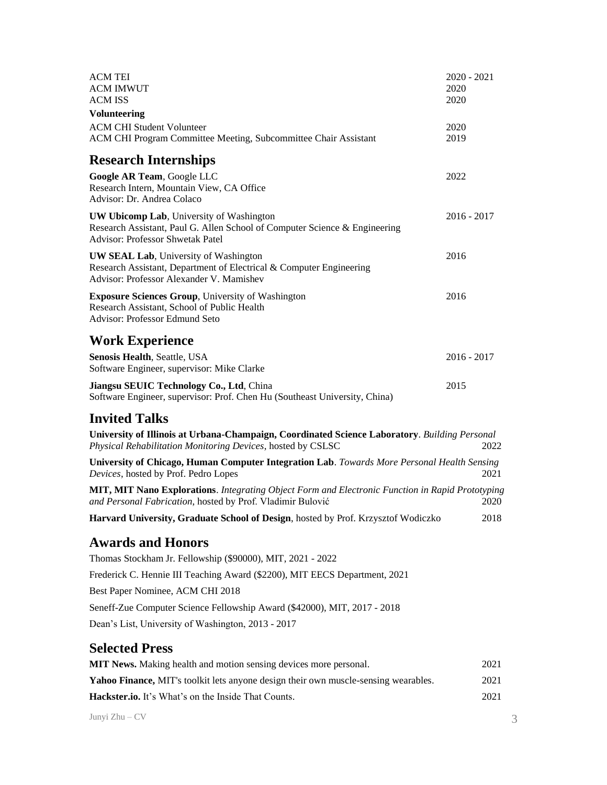| ACM TEI<br><b>ACM IMWUT</b><br><b>ACM ISS</b>                                                                                                                             | $2020 - 2021$<br>2020<br>2020 |
|---------------------------------------------------------------------------------------------------------------------------------------------------------------------------|-------------------------------|
| <b>Volunteering</b>                                                                                                                                                       |                               |
| <b>ACM CHI Student Volunteer</b><br>ACM CHI Program Committee Meeting, Subcommittee Chair Assistant                                                                       | 2020<br>2019                  |
| <b>Research Internships</b>                                                                                                                                               |                               |
| Google AR Team, Google LLC<br>Research Intern, Mountain View, CA Office<br>Advisor: Dr. Andrea Colaco                                                                     | 2022                          |
| <b>UW Ubicomp Lab</b> , University of Washington<br>Research Assistant, Paul G. Allen School of Computer Science & Engineering<br><b>Advisor: Professor Shwetak Patel</b> | $2016 - 2017$                 |
| <b>UW SEAL Lab</b> , University of Washington<br>Research Assistant, Department of Electrical & Computer Engineering<br>Advisor: Professor Alexander V. Mamishev          | 2016                          |
| <b>Exposure Sciences Group</b> , University of Washington<br>Research Assistant, School of Public Health<br><b>Advisor: Professor Edmund Seto</b>                         | 2016                          |
| <b>Work Experience</b>                                                                                                                                                    |                               |
| Senosis Health, Seattle, USA<br>Software Engineer, supervisor: Mike Clarke                                                                                                | $2016 - 2017$                 |
| Jiangsu SEUIC Technology Co., Ltd, China<br>Software Engineer, supervisor: Prof. Chen Hu (Southeast University, China)                                                    | 2015                          |
| <b>Invited Talks</b>                                                                                                                                                      |                               |
| University of Illinois at Urbana-Champaign, Coordinated Science Laboratory. Building Personal<br>Physical Rehabilitation Monitoring Devices, hosted by CSLSC              | 2022                          |
| University of Chicago, Human Computer Integration Lab. Towards More Personal Health Sensing<br>Devices, hosted by Prof. Pedro Lopes                                       | 2021                          |
| MIT, MIT Nano Explorations. Integrating Object Form and Electronic Function in Rapid Prototyping<br>and Personal Fabrication, hosted by Prof. Vladimir Bulović            | 2020                          |
| Harvard University, Graduate School of Design, hosted by Prof. Krzysztof Wodiczko                                                                                         | 2018                          |
| <b>Awards and Honors</b>                                                                                                                                                  |                               |
| Thomas Stockham Jr. Fellowship (\$90000), MIT, 2021 - 2022                                                                                                                |                               |
| Frederick C. Hennie III Teaching Award (\$2200), MIT EECS Department, 2021                                                                                                |                               |
| Best Paper Nominee, ACM CHI 2018                                                                                                                                          |                               |
| Seneff-Zue Computer Science Fellowship Award (\$42000), MIT, 2017 - 2018                                                                                                  |                               |
| Dean's List, University of Washington, 2013 - 2017                                                                                                                        |                               |
| <b>Selected Press</b>                                                                                                                                                     |                               |
| MIT News. Making health and motion sensing devices more personal.                                                                                                         | 2021                          |
| Yahoo Finance, MIT's toolkit lets anyone design their own muscle-sensing wearables.                                                                                       | 2021                          |
| Hackster.io. It's What's on the Inside That Counts.                                                                                                                       | 2021                          |
|                                                                                                                                                                           |                               |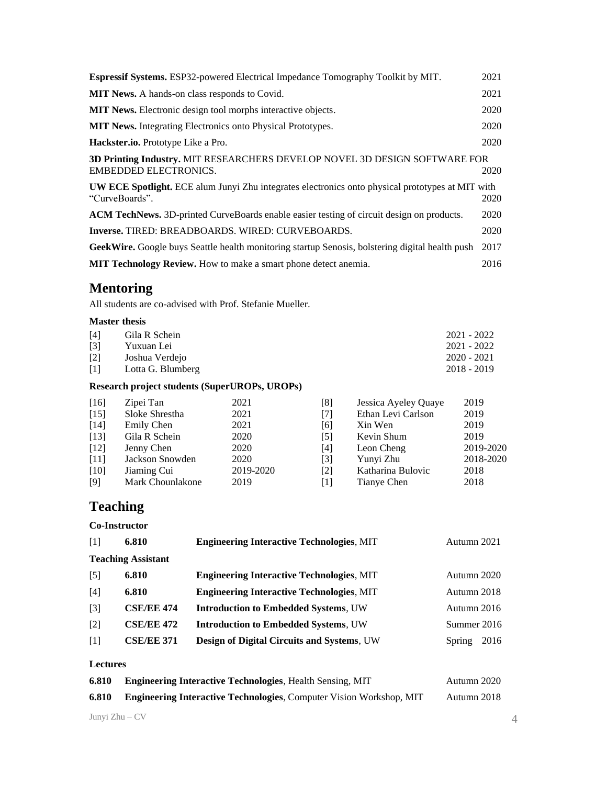| Espressif Systems. ESP32-powered Electrical Impedance Tomography Toolkit by MIT.                                          | 2021 |
|---------------------------------------------------------------------------------------------------------------------------|------|
| <b>MIT News.</b> A hands-on class responds to Covid.                                                                      | 2021 |
| <b>MIT News.</b> Electronic design tool morphs interactive objects.                                                       | 2020 |
| <b>MIT News.</b> Integrating Electronics onto Physical Prototypes.                                                        | 2020 |
| <b>Hackster.io.</b> Prototype Like a Pro.                                                                                 | 2020 |
| 3D Printing Industry. MIT RESEARCHERS DEVELOP NOVEL 3D DESIGN SOFTWARE FOR<br>EMBEDDED ELECTRONICS.                       | 2020 |
| <b>UW ECE Spotlight.</b> ECE alum Junyi Zhu integrates electronics onto physical prototypes at MIT with<br>"CurveBoards". | 2020 |
| ACM TechNews. 3D-printed CurveBoards enable easier testing of circuit design on products.                                 | 2020 |
| <b>Inverse.</b> TIRED: BREADBOARDS. WIRED: CURVEBOARDS.                                                                   | 2020 |
| GeekWire. Google buys Seattle health monitoring startup Senosis, bolstering digital health push                           | 2017 |
| <b>MIT Technology Review.</b> How to make a smart phone detect anemia.                                                    | 2016 |

# **Mentoring**

All students are co-advised with Prof. Stefanie Mueller.

#### **Master thesis**

| [4]               | Gila R Schein     | 2021 - 2022   |  |
|-------------------|-------------------|---------------|--|
| $\lceil 3 \rceil$ | Yuxuan Lei        | 2021 - 2022   |  |
| $[2]$             | Joshua Verdejo    | $2020 - 2021$ |  |
| $\lceil 1 \rceil$ | Lotta G. Blumberg | $2018 - 2019$ |  |

### **Research project students (SuperUROPs, UROPs)**

| $[16]$ | Zipei Tan        | 2021      | [8]               | Jessica Ayeley Quaye | 2019      |
|--------|------------------|-----------|-------------------|----------------------|-----------|
| $[15]$ | Sloke Shrestha   | 2021      | $[7]$             | Ethan Levi Carlson   | 2019      |
| $[14]$ | Emily Chen       | 2021      | [6]               | Xin Wen              | 2019      |
| $[13]$ | Gila R Schein    | 2020      | $\lceil 5 \rceil$ | Kevin Shum           | 2019      |
| $[12]$ | Jenny Chen       | 2020      | [4]               | Leon Cheng           | 2019-2020 |
| $[11]$ | Jackson Snowden  | 2020      | $\lceil 3 \rceil$ | Yunyi Zhu            | 2018-2020 |
| [10]   | Jiaming Cui      | 2019-2020 | $\lceil 2 \rceil$ | Katharina Bulovic    | 2018      |
| [9]    | Mark Chounlakone | 2019      | [1]               | Tianye Chen          | 2018      |

# **Teaching**

#### **Co-Instructor**

| $\lceil 1 \rceil$ | 6.810                     | <b>Engineering Interactive Technologies, MIT</b> | Autumn 2021    |
|-------------------|---------------------------|--------------------------------------------------|----------------|
|                   | <b>Teaching Assistant</b> |                                                  |                |
| $\lceil 5 \rceil$ | 6.810                     | <b>Engineering Interactive Technologies, MIT</b> | Autumn 2020    |
| [4]               | 6.810                     | <b>Engineering Interactive Technologies, MIT</b> | Autumn 2018    |
| $[3]$             | <b>CSE/EE 474</b>         | <b>Introduction to Embedded Systems, UW</b>      | Autumn 2016    |
| $[2]$             | <b>CSE/EE 472</b>         | <b>Introduction to Embedded Systems, UW</b>      | Summer 2016    |
| $\lceil 1 \rceil$ | <b>CSE/EE 371</b>         | Design of Digital Circuits and Systems, UW       | 2016<br>Spring |
| <b>Lectures</b>   |                           |                                                  |                |

| 6.810 | <b>Engineering Interactive Technologies, Health Sensing, MIT</b>           | Autumn 2020 |
|-------|----------------------------------------------------------------------------|-------------|
| 6.810 | <b>Engineering Interactive Technologies, Computer Vision Workshop, MIT</b> | Autumn 2018 |